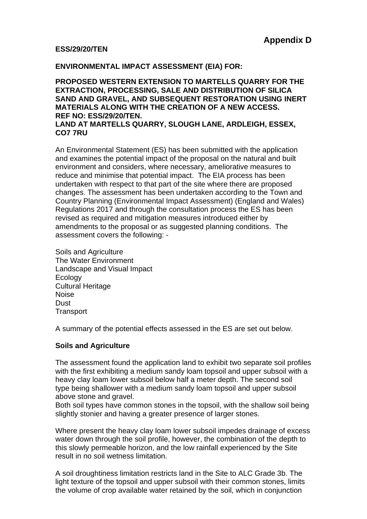#### **ESS/29/20/TEN**

#### **ENVIRONMENTAL IMPACT ASSESSMENT (EIA) FOR:**

**PROPOSED WESTERN EXTENSION TO MARTELLS QUARRY FOR THE EXTRACTION, PROCESSING, SALE AND DISTRIBUTION OF SILICA SAND AND GRAVEL, AND SUBSEQUENT RESTORATION USING INERT MATERIALS ALONG WITH THE CREATION OF A NEW ACCESS. REF NO: ESS/29/20/TEN.**

**LAND AT MARTELLS QUARRY, SLOUGH LANE, ARDLEIGH, ESSEX, CO7 7RU**

An Environmental Statement (ES) has been submitted with the application and examines the potential impact of the proposal on the natural and built environment and considers, where necessary, ameliorative measures to reduce and minimise that potential impact. The EIA process has been undertaken with respect to that part of the site where there are proposed changes. The assessment has been undertaken according to the Town and Country Planning (Environmental Impact Assessment) (England and Wales) Regulations 2017 and through the consultation process the ES has been revised as required and mitigation measures introduced either by amendments to the proposal or as suggested planning conditions. The assessment covers the following: -

Soils and Agriculture The Water Environment Landscape and Visual Impact Ecology Cultural Heritage Noise **Dust Transport** 

A summary of the potential effects assessed in the ES are set out below.

## **Soils and Agriculture**

The assessment found the application land to exhibit two separate soil profiles with the first exhibiting a medium sandy loam topsoil and upper subsoil with a heavy clay loam lower subsoil below half a meter depth. The second soil type being shallower with a medium sandy loam topsoil and upper subsoil above stone and gravel.

Both soil types have common stones in the topsoil, with the shallow soil being slightly stonier and having a greater presence of larger stones.

Where present the heavy clay loam lower subsoil impedes drainage of excess water down through the soil profile, however, the combination of the depth to this slowly permeable horizon, and the low rainfall experienced by the Site result in no soil wetness limitation.

A soil droughtiness limitation restricts land in the Site to ALC Grade 3b. The light texture of the topsoil and upper subsoil with their common stones, limits the volume of crop available water retained by the soil, which in conjunction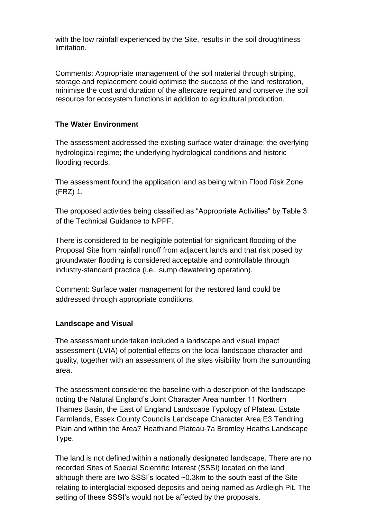with the low rainfall experienced by the Site, results in the soil droughtiness limitation.

Comments: Appropriate management of the soil material through striping, storage and replacement could optimise the success of the land restoration, minimise the cost and duration of the aftercare required and conserve the soil resource for ecosystem functions in addition to agricultural production.

# **The Water Environment**

The assessment addressed the existing surface water drainage; the overlying hydrological regime; the underlying hydrological conditions and historic flooding records.

The assessment found the application land as being within Flood Risk Zone (FRZ) 1.

The proposed activities being classified as "Appropriate Activities" by Table 3 of the Technical Guidance to NPPF.

There is considered to be negligible potential for significant flooding of the Proposal Site from rainfall runoff from adjacent lands and that risk posed by groundwater flooding is considered acceptable and controllable through industry-standard practice (i.e., sump dewatering operation).

Comment: Surface water management for the restored land could be addressed through appropriate conditions.

## **Landscape and Visual**

The assessment undertaken included a landscape and visual impact assessment (LVIA) of potential effects on the local landscape character and quality, together with an assessment of the sites visibility from the surrounding area.

The assessment considered the baseline with a description of the landscape noting the Natural England's Joint Character Area number 11 Northern Thames Basin, the East of England Landscape Typology of Plateau Estate Farmlands, Essex County Councils Landscape Character Area E3 Tendring Plain and within the Area7 Heathland Plateau-7a Bromley Heaths Landscape Type.

The land is not defined within a nationally designated landscape. There are no recorded Sites of Special Scientific Interest (SSSI) located on the land although there are two SSSI's located ~0.3km to the south east of the Site relating to interglacial exposed deposits and being named as Ardleigh Pit. The setting of these SSSI's would not be affected by the proposals.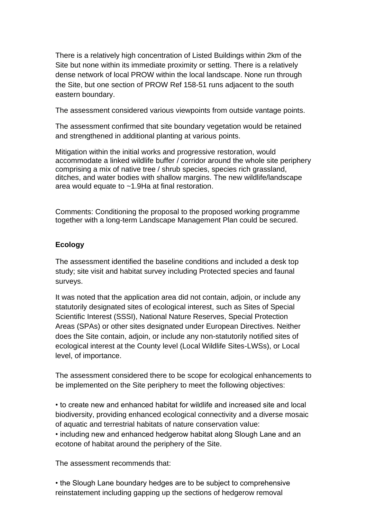There is a relatively high concentration of Listed Buildings within 2km of the Site but none within its immediate proximity or setting. There is a relatively dense network of local PROW within the local landscape. None run through the Site, but one section of PROW Ref 158-51 runs adjacent to the south eastern boundary.

The assessment considered various viewpoints from outside vantage points.

The assessment confirmed that site boundary vegetation would be retained and strengthened in additional planting at various points.

Mitigation within the initial works and progressive restoration, would accommodate a linked wildlife buffer / corridor around the whole site periphery comprising a mix of native tree / shrub species, species rich grassland, ditches, and water bodies with shallow margins. The new wildlife/landscape area would equate to ~1.9Ha at final restoration.

Comments: Conditioning the proposal to the proposed working programme together with a long-term Landscape Management Plan could be secured.

# **Ecology**

The assessment identified the baseline conditions and included a desk top study; site visit and habitat survey including Protected species and faunal surveys.

It was noted that the application area did not contain, adjoin, or include any statutorily designated sites of ecological interest, such as Sites of Special Scientific Interest (SSSI), National Nature Reserves, Special Protection Areas (SPAs) or other sites designated under European Directives. Neither does the Site contain, adjoin, or include any non-statutorily notified sites of ecological interest at the County level (Local Wildlife Sites-LWSs), or Local level, of importance.

The assessment considered there to be scope for ecological enhancements to be implemented on the Site periphery to meet the following objectives:

• to create new and enhanced habitat for wildlife and increased site and local biodiversity, providing enhanced ecological connectivity and a diverse mosaic of aquatic and terrestrial habitats of nature conservation value:

• including new and enhanced hedgerow habitat along Slough Lane and an ecotone of habitat around the periphery of the Site.

The assessment recommends that:

• the Slough Lane boundary hedges are to be subject to comprehensive reinstatement including gapping up the sections of hedgerow removal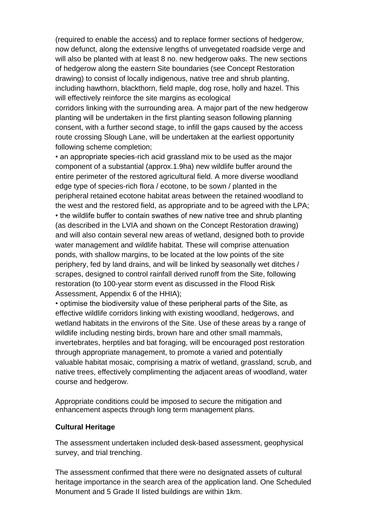(required to enable the access) and to replace former sections of hedgerow, now defunct, along the extensive lengths of unvegetated roadside verge and will also be planted with at least 8 no. new hedgerow oaks. The new sections of hedgerow along the eastern Site boundaries (see Concept Restoration drawing) to consist of locally indigenous, native tree and shrub planting, including hawthorn, blackthorn, field maple, dog rose, holly and hazel. This will effectively reinforce the site margins as ecological

corridors linking with the surrounding area. A major part of the new hedgerow planting will be undertaken in the first planting season following planning consent, with a further second stage, to infill the gaps caused by the access route crossing Slough Lane, will be undertaken at the earliest opportunity following scheme completion;

• an appropriate species-rich acid grassland mix to be used as the major component of a substantial (approx.1.9ha) new wildlife buffer around the entire perimeter of the restored agricultural field. A more diverse woodland edge type of species-rich flora / ecotone, to be sown / planted in the peripheral retained ecotone habitat areas between the retained woodland to the west and the restored field, as appropriate and to be agreed with the LPA; • the wildlife buffer to contain swathes of new native tree and shrub planting (as described in the LVIA and shown on the Concept Restoration drawing) and will also contain several new areas of wetland, designed both to provide water management and wildlife habitat. These will comprise attenuation ponds, with shallow margins, to be located at the low points of the site periphery, fed by land drains, and will be linked by seasonally wet ditches / scrapes, designed to control rainfall derived runoff from the Site, following restoration (to 100-year storm event as discussed in the Flood Risk Assessment, Appendix 6 of the HHIA);

• optimise the biodiversity value of these peripheral parts of the Site, as effective wildlife corridors linking with existing woodland, hedgerows, and wetland habitats in the environs of the Site. Use of these areas by a range of wildlife including nesting birds, brown hare and other small mammals, invertebrates, herptiles and bat foraging, will be encouraged post restoration through appropriate management, to promote a varied and potentially valuable habitat mosaic, comprising a matrix of wetland, grassland, scrub, and native trees, effectively complimenting the adjacent areas of woodland, water course and hedgerow.

Appropriate conditions could be imposed to secure the mitigation and enhancement aspects through long term management plans.

## **Cultural Heritage**

The assessment undertaken included desk-based assessment, geophysical survey, and trial trenching.

The assessment confirmed that there were no designated assets of cultural heritage importance in the search area of the application land. One Scheduled Monument and 5 Grade II listed buildings are within 1km.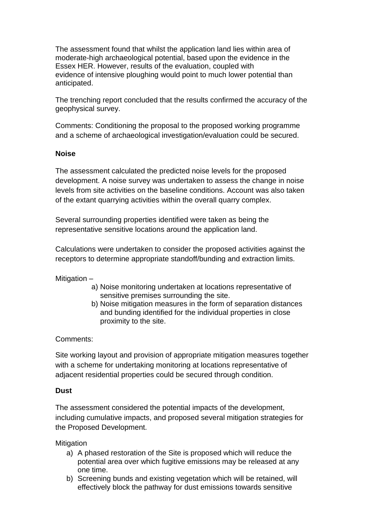The assessment found that whilst the application land lies within area of moderate-high archaeological potential, based upon the evidence in the Essex HER. However, results of the evaluation, coupled with evidence of intensive ploughing would point to much lower potential than anticipated.

The trenching report concluded that the results confirmed the accuracy of the geophysical survey.

Comments: Conditioning the proposal to the proposed working programme and a scheme of archaeological investigation/evaluation could be secured.

## **Noise**

The assessment calculated the predicted noise levels for the proposed development. A noise survey was undertaken to assess the change in noise levels from site activities on the baseline conditions. Account was also taken of the extant quarrying activities within the overall quarry complex.

Several surrounding properties identified were taken as being the representative sensitive locations around the application land.

Calculations were undertaken to consider the proposed activities against the receptors to determine appropriate standoff/bunding and extraction limits.

Mitigation –

- a) Noise monitoring undertaken at locations representative of sensitive premises surrounding the site.
- b) Noise mitigation measures in the form of separation distances and bunding identified for the individual properties in close proximity to the site.

#### Comments:

Site working layout and provision of appropriate mitigation measures together with a scheme for undertaking monitoring at locations representative of adjacent residential properties could be secured through condition.

#### **Dust**

The assessment considered the potential impacts of the development, including cumulative impacts, and proposed several mitigation strategies for the Proposed Development.

**Mitigation** 

- a) A phased restoration of the Site is proposed which will reduce the potential area over which fugitive emissions may be released at any one time.
- b) Screening bunds and existing vegetation which will be retained, will effectively block the pathway for dust emissions towards sensitive